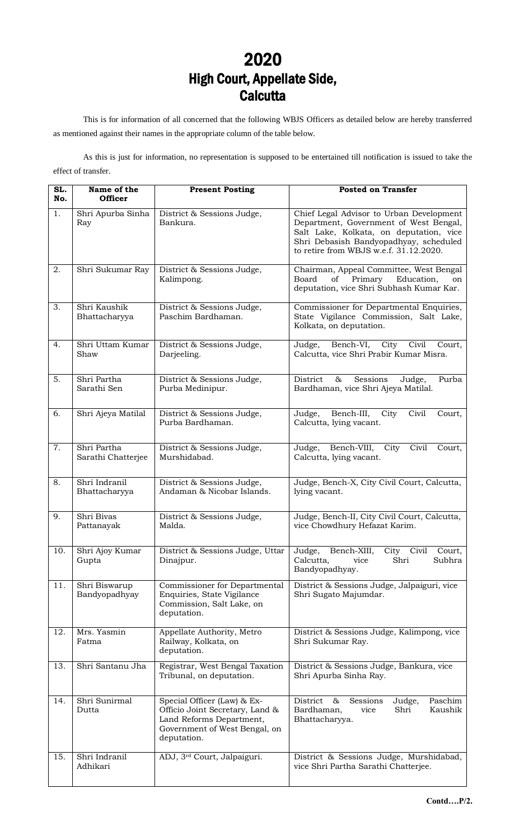## 2020 High Court, Appellate Side, **Calcutta**

This is for information of all concerned that the following WBJS Officers as detailed below are hereby transferred as mentioned against their names in the appropriate column of the table below.

As this is just for information, no representation is supposed to be entertained till notification is issued to take the effect of transfer.

| SL.<br>No. | Name of the<br><b>Officer</b>     | <b>Present Posting</b>                                                                                                                     | <b>Posted on Transfer</b>                                                                                                                                                                                         |
|------------|-----------------------------------|--------------------------------------------------------------------------------------------------------------------------------------------|-------------------------------------------------------------------------------------------------------------------------------------------------------------------------------------------------------------------|
| 1.         | Shri Apurba Sinha<br>Ray          | District & Sessions Judge,<br>Bankura.                                                                                                     | Chief Legal Advisor to Urban Development<br>Department, Government of West Bengal,<br>Salt Lake, Kolkata, on deputation, vice<br>Shri Debasish Bandyopadhyay, scheduled<br>to retire from WBJS w.e.f. 31.12.2020. |
| 2.         | Shri Sukumar Ray                  | District & Sessions Judge,<br>Kalimpong.                                                                                                   | Chairman, Appeal Committee, West Bengal<br>Primary<br>Board<br>of<br>Education,<br>on<br>deputation, vice Shri Subhash Kumar Kar.                                                                                 |
| 3.         | Shri Kaushik<br>Bhattacharyya     | District & Sessions Judge,<br>Paschim Bardhaman.                                                                                           | Commissioner for Departmental Enquiries,<br>State Vigilance Commission, Salt Lake,<br>Kolkata, on deputation.                                                                                                     |
| 4.         | Shri Uttam Kumar<br>Shaw          | District & Sessions Judge,<br>Darjeeling.                                                                                                  | Civil<br>Judge,<br>Bench-VI,<br>City<br>Court,<br>Calcutta, vice Shri Prabir Kumar Misra.                                                                                                                         |
| 5.         | Shri Partha<br>Sarathi Sen        | District & Sessions Judge,<br>Purba Medinipur.                                                                                             | District<br>$\&$<br>Sessions<br>Judge,<br>Purba<br>Bardhaman, vice Shri Ajeya Matilal.                                                                                                                            |
| 6.         | Shri Ajeya Matilal                | District & Sessions Judge,<br>Purba Bardhaman.                                                                                             | Bench-III,<br>Civil<br>Judge,<br>City<br>Court,<br>Calcutta, lying vacant.                                                                                                                                        |
| 7.         | Shri Partha<br>Sarathi Chatterjee | District & Sessions Judge,<br>Murshidabad.                                                                                                 | Judge,<br>Bench-VIII,<br>City<br>Civil<br>Court,<br>Calcutta, lying vacant.                                                                                                                                       |
| 8.         | Shri Indranil<br>Bhattacharyya    | District & Sessions Judge,<br>Andaman & Nicobar Islands.                                                                                   | Judge, Bench-X, City Civil Court, Calcutta,<br>lying vacant.                                                                                                                                                      |
| 9.         | Shri Bivas<br>Pattanayak          | District & Sessions Judge,<br>Malda.                                                                                                       | Judge, Bench-II, City Civil Court, Calcutta,<br>vice Chowdhury Hefazat Karim.                                                                                                                                     |
| 10.        | Shri Ajoy Kumar<br>Gupta          | District & Sessions Judge, Uttar<br>Dinajpur.                                                                                              | Bench-XIII,<br>Judge,<br>City<br>Civil<br>Court,<br>Calcutta,<br>Shri<br>Subhra<br>vice<br>Bandyopadhyay.                                                                                                         |
| 11.        | Shri Biswarup<br>Bandyopadhyay    | Commissioner for Departmental<br>Enquiries, State Vigilance<br>Commission, Salt Lake, on<br>deputation.                                    | District & Sessions Judge, Jalpaiguri, vice<br>Shri Sugato Majumdar.                                                                                                                                              |
| 12.        | Mrs. Yasmin<br>Fatma              | Appellate Authority, Metro<br>Railway, Kolkata, on<br>deputation.                                                                          | District & Sessions Judge, Kalimpong, vice<br>Shri Sukumar Ray.                                                                                                                                                   |
| 13.        | Shri Santanu Jha                  | Registrar, West Bengal Taxation<br>Tribunal, on deputation.                                                                                | District & Sessions Judge, Bankura, vice<br>Shri Apurba Sinha Ray.                                                                                                                                                |
| 14.        | Shri Sunirmal<br>Dutta            | Special Officer (Law) & Ex-<br>Officio Joint Secretary, Land &<br>Land Reforms Department,<br>Government of West Bengal, on<br>deputation. | District<br>$\&$<br>Paschim<br>Sessions<br>Judge,<br>Bardhaman,<br>Kaushik<br>Shri<br>vice<br>Bhattacharyya.                                                                                                      |
| 15.        | Shri Indranil<br>Adhikari         | ADJ, 3 <sup>rd</sup> Court, Jalpaiguri.                                                                                                    | District & Sessions Judge, Murshidabad,<br>vice Shri Partha Sarathi Chatterjee.                                                                                                                                   |